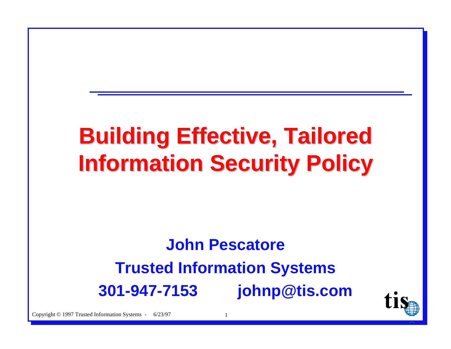# **Building Effective, Tailored Building Effective, Tailored Information Security Policy Information Security Policy**

### **John PescatoreTrusted Information Systems 301-947-7153 johnp@tis.com**



Copyright © 1997 Trusted Information Systems - 6/23/97 1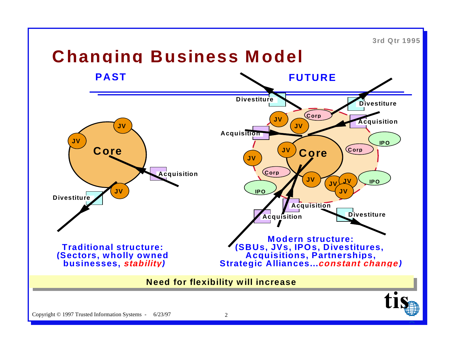**3rd Qtr 1995**

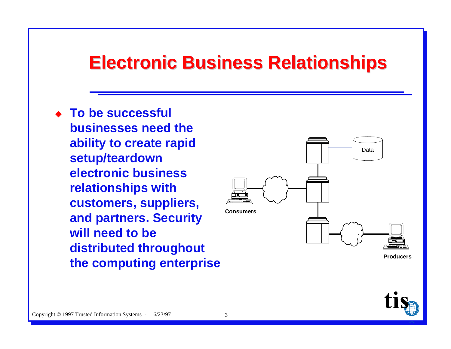#### **Electronic Business Relationships Electronic Business Relationships**

◆ To be successful **businesses need theability to create rapid setup/teardown electronic businessrelationships with customers, suppliers, and partners. Security will need to bedistributed throughout the computing enterprise**



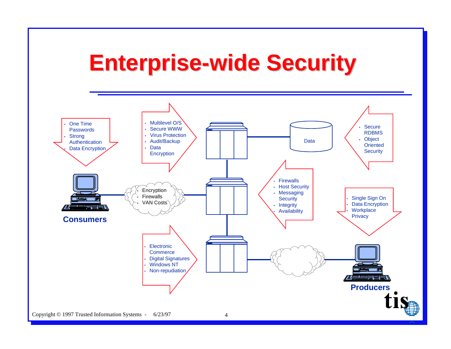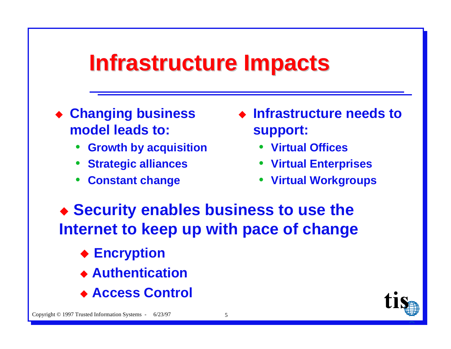### **Infrastructure Impacts**

- ◆ Changing business model leads to:
	- **Growth by acquisition**
	- **Strategic alliances**
	- **Constant change**
- Infrastructure needs to support:
	- Virtual Offices
	- Virtual Enterprises
	- Virtual Workgroups

◆ Security enables business to use the Internet to keep up with pace of change

- **◆ Encryption**
- ◆ Authentication
- ◆ Access Control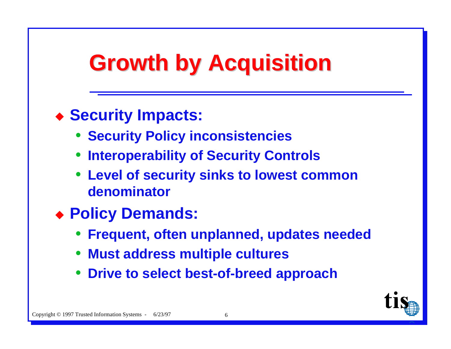## **Growth by Acquisition**

### ◆ Security Impacts:

- **Security Policy inconsistencies**
- **Interoperability of Security Controls**
- Level of security sinks to lowest common denominator
- ◆ Policy Demands:
	- **Frequent, often unplanned, updates needed**
	- Must address multiple cultures
	- Drive to select best-of-breed approach

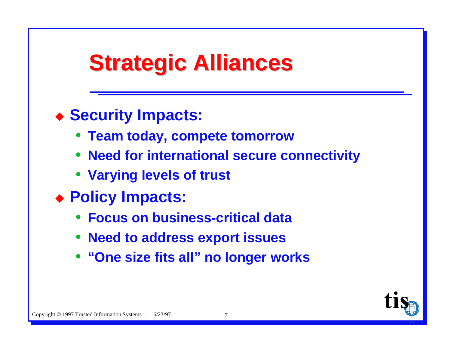## **Strategic Alliances**

#### ◆ Security Impacts:

- Team today, compete tomorrow
- Need for international secure connectivity
- Varying levels of trust
- ◆ Policy Impacts:
	- **Focus on business-critical data**
	- **Need to address export issues**
	- "One size fits all" no longer works

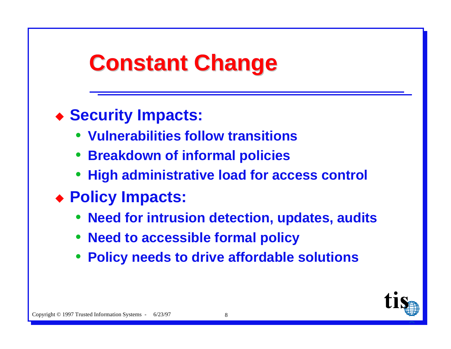## **Constant Change**

### ◆ Security Impacts:

- Vulnerabilities follow transitions
- Breakdown of informal policies
- High administrative load for access control
- ◆ Policy Impacts:
	- Need for intrusion detection, updates, audits
	- Need to accessible formal policy
	- Policy needs to drive affordable solutions

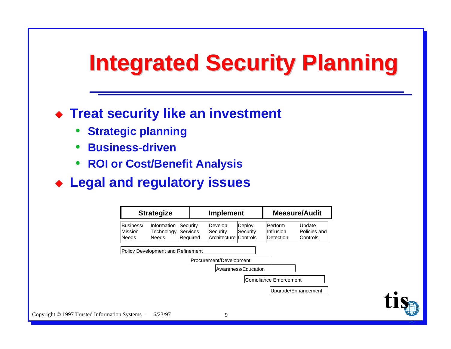## **Integrated Security Planning Integrated Security Planning**

#### **Treat security like an investment**

- $\bullet$ **Strategic planning**
- $\bullet$ **Business-driven**
- ì **ROI or Cost/Benefit Analysis**
- u **Legal and regulatory issues**

| <b>Strategize</b>                     |                                     |                                   | <b>Implement</b> |                                              |                     | <b>Measure/Audit</b>                        |  |                                    |
|---------------------------------------|-------------------------------------|-----------------------------------|------------------|----------------------------------------------|---------------------|---------------------------------------------|--|------------------------------------|
| Business/<br>lMission<br><b>Needs</b> | Information<br>Technology<br>lNeeds | Security<br>lServices<br>Required |                  | Develop<br>Security<br>Architecture Controls | Deploy<br>Security  | lPerform<br>lIntrusion<br><b>IDetection</b> |  | Update<br>Policies and<br>Controls |
|                                       | Policy Development and Refinement   |                                   |                  |                                              |                     |                                             |  |                                    |
|                                       |                                     |                                   |                  | Procurement/Development                      | Awareness/Education |                                             |  |                                    |
|                                       |                                     |                                   |                  |                                              |                     | Compliance Enforcement                      |  |                                    |
|                                       |                                     |                                   |                  |                                              |                     |                                             |  | Upgrade/Enhancement                |

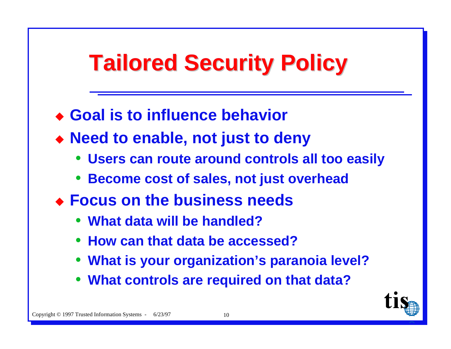# **Tailored Security Policy Tailored Security Policy**

- ◆ Goal is to influence behavior
- u **Need to enable, not just to deny**
	- ì **Users can route around controls all too easily**
	- $\bullet$ **Become cost of sales, not just overhead**
- u **Focus on the business needs**
	- ì **What data will be handled?**
	- ì **How can that data be accessed?**
	- ì**What is your organization's paranoia level?**
	- ì **What controls are required on that data?**

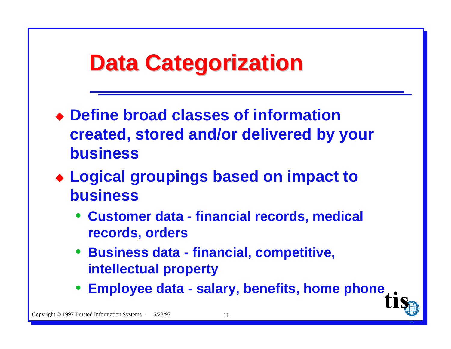### **Data Categorization Data Categorization**

- u **Define broad classes of information created, stored and/or delivered by your business**
- u **Logical groupings based on impact to business**
	- ì **Customer data financial records, medical records, orders**
	- ì **Business data financial, competitive, intellectual property**
	- ì **Employee data salary, benefits, home phone**

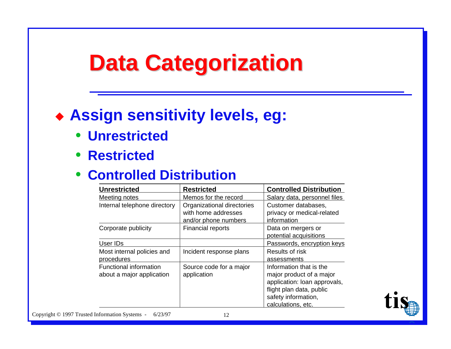## **Data Categorization Data Categorization**

#### $\bullet$  **Assign sensitivity levels, eg:**

- ì **Unrestricted**
- ì **Restricted**

#### **• Controlled Distribution**

| <b>Unrestricted</b>                                        | <b>Restricted</b>                                                         | <b>Controlled Distribution</b>                                                                                                                               |
|------------------------------------------------------------|---------------------------------------------------------------------------|--------------------------------------------------------------------------------------------------------------------------------------------------------------|
| <b>Meeting notes</b>                                       | Memos for the record                                                      | Salary data, personnel files                                                                                                                                 |
| Internal telephone directory                               | Organizational directories<br>with home addresses<br>and/or phone numbers | Customer databases,<br>privacy or medical-related<br>information                                                                                             |
| Corporate publicity                                        | <b>Financial reports</b>                                                  | Data on mergers or<br>potential acquisitions                                                                                                                 |
| User IDs                                                   |                                                                           | Passwords, encryption keys                                                                                                                                   |
| Most internal policies and<br>procedures                   | Incident response plans                                                   | Results of risk<br>assessments                                                                                                                               |
| <b>Functional information</b><br>about a major application | Source code for a major<br>application                                    | Information that is the<br>major product of a major<br>application: loan approvals,<br>flight plan data, public<br>safety information,<br>calculations, etc. |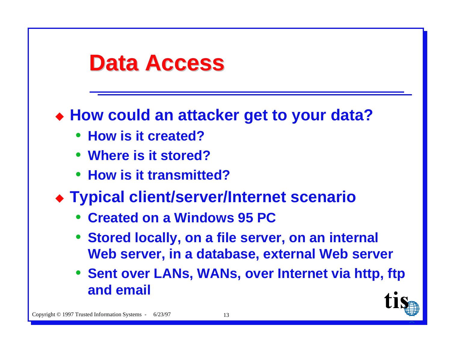### **Data Access**

#### • How could an attacker get to your data?

- How is it created?
- Where is it stored?
- How is it transmitted?
- ◆ Typical client/server/Internet scenario
	- Created on a Windows 95 PC
	- Stored locally, on a file server, on an internal Web server, in a database, external Web server
	- Sent over LANs, WANs, over Internet via http, ftp and email

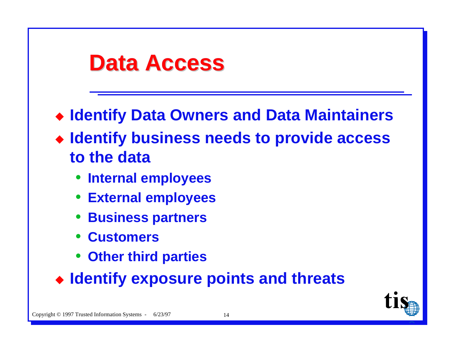### **Data Access**

- ◆ Identify Data Owners and Data Maintainers
- Identify business needs to provide access to the data
	- Internal employees
	- **External employees**
	- **Business partners**
	- **Customers**
	- Other third parties
- Identify exposure points and threats

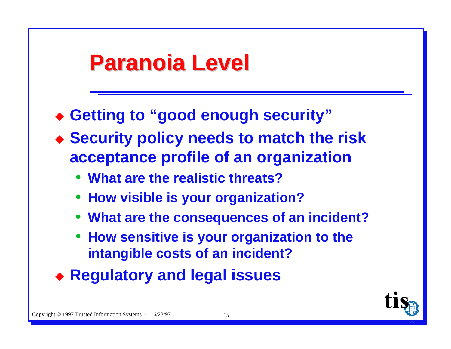### **Paranoia Level Paranoia Level**

- ◆ Getting to "good enough security"
- u **Security policy needs to match the risk acceptance profile of an organization**
	- ì **What are the realistic threats?**
	- **How visible is your organization?**
	- ì **What are the consequences of an incident?**
	- ì **How sensitive is your organization to the intangible costs of an incident?**
- u **Regulatory and legal issues**

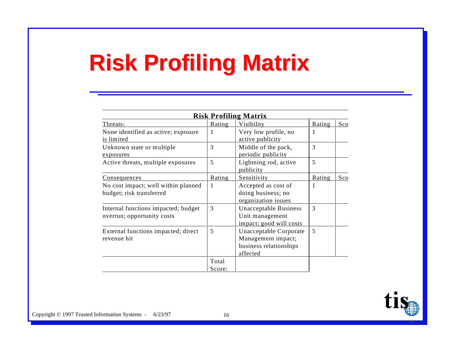# **Risk Profiling Matrix Risk Profiling Matrix**

| <b>Risk Profiling Matrix</b>                                      |                 |                                                                                    |        |     |  |
|-------------------------------------------------------------------|-----------------|------------------------------------------------------------------------------------|--------|-----|--|
| Threats:                                                          | Rating          | Visibility                                                                         | Rating | Sco |  |
| None identified as active; exposure<br>is limited                 | 1               | Very low profile, no<br>active publicity                                           | 1      |     |  |
| Unknown state or multiple<br>exposures                            | 3               | Middle of the pack,<br>periodic publicity                                          | 3      |     |  |
| Active threats, multiple exposures                                | 5               | Lightning rod, active<br>publicity                                                 | 5      |     |  |
| <u>Consequences</u>                                               | Rating          | Sensitivity                                                                        | Rating | Sco |  |
| No cost impact; well within planned<br>budget; risk transferred   |                 | Accepted as cost of<br>doing business; no<br>organization issues                   |        |     |  |
| Internal functions impacted; budget<br>overrun; opportunity costs | 3               | Unacceptable Business<br>Unit management<br>impact; good will costs                | 3      |     |  |
| External functions impacted; direct<br>revenue hit                | 5               | Unacceptable Corporate<br>Management impact;<br>business relationships<br>affected | 5      |     |  |
|                                                                   | Total<br>Score: |                                                                                    |        |     |  |

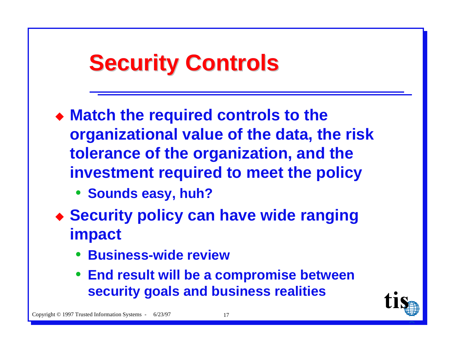## **Security Controls**

- Match the required controls to the organizational value of the data, the risk tolerance of the organization, and the investment required to meet the policy
	- Sounds easy, huh?
- ◆ Security policy can have wide ranging impact
	- **Business-wide review**
	- End result will be a compromise between security goals and business realities

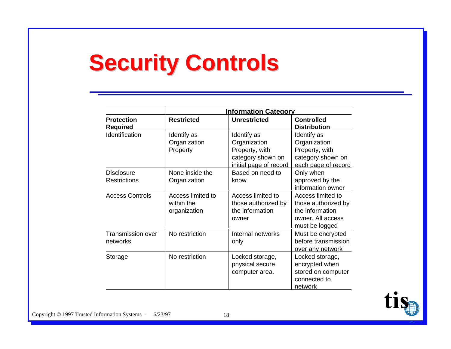# **Security Controls Security Controls**

|                                          | <b>Information Category</b>                     |                                                                                              |                                                                                                    |  |  |  |  |
|------------------------------------------|-------------------------------------------------|----------------------------------------------------------------------------------------------|----------------------------------------------------------------------------------------------------|--|--|--|--|
| <b>Protection</b><br><b>Required</b>     | <b>Restricted</b>                               | <b>Unrestricted</b>                                                                          | <b>Controlled</b><br><b>Distribution</b>                                                           |  |  |  |  |
| Identification                           | Identify as<br>Organization<br>Property         | Identify as<br>Organization<br>Property, with<br>category shown on<br>initial page of record | Identify as<br>Organization<br>Property, with<br>category shown on<br>each page of record          |  |  |  |  |
| <b>Disclosure</b><br><b>Restrictions</b> | None inside the<br>Organization                 | Based on need to<br>know                                                                     | Only when<br>approved by the<br>information owner                                                  |  |  |  |  |
| <b>Access Controls</b>                   | Access limited to<br>within the<br>organization | Access limited to<br>those authorized by<br>the information<br>owner                         | Access limited to<br>those authorized by<br>the information<br>owner. All access<br>must be logged |  |  |  |  |
| <b>Transmission over</b><br>networks     | No restriction                                  | Internal networks<br>only                                                                    | Must be encrypted<br>before transmission<br>over any network                                       |  |  |  |  |
| Storage                                  | No restriction                                  | Locked storage,<br>physical secure<br>computer area.                                         | Locked storage,<br>encrypted when<br>stored on computer<br>connected to<br>network                 |  |  |  |  |

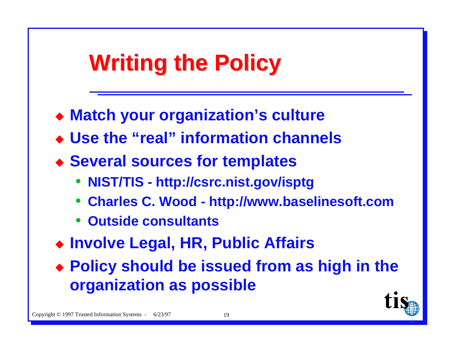# **Writing the Policy Writing the Policy**

- ◆ Match your organization's culture
- ◆ Use the "real" information channels
- u **Several sources for templates**
	- ì **NIST/TIS http://csrc.nist.gov/isptg**
	- $\bullet$ **Charles C. Wood - http://www.baselinesoft.com**
	- ì **Outside consultants**
- ◆ Involve Legal, HR, Public Affairs
- u **Policy should be issued from as high in the organization as possible**

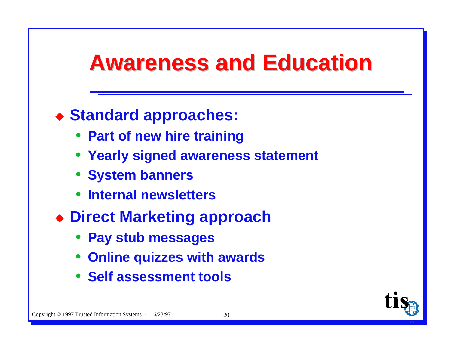### **Awareness and Education**

#### ◆ Standard approaches:

- Part of new hire training
- Yearly signed awareness statement
- System banners
- Internal newsletters
- ◆ Direct Marketing approach
	- Pay stub messages
	- Online quizzes with awards
	- Self assessment tools